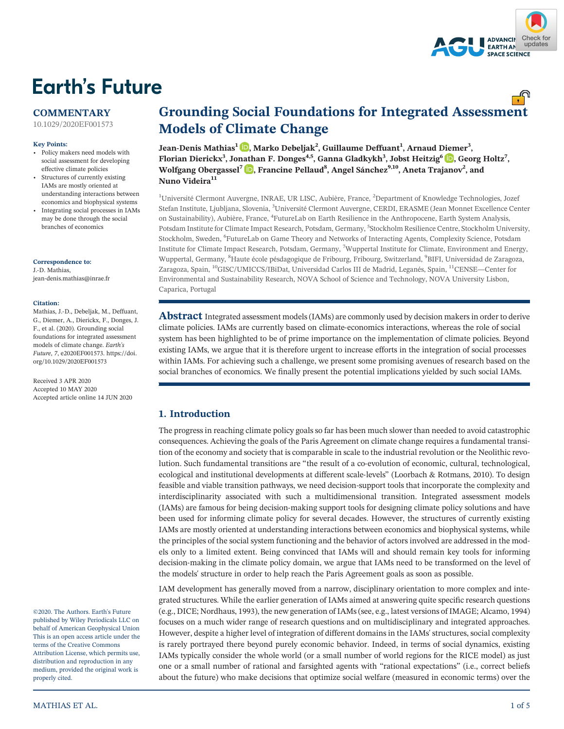

## **Earth's Future**

### **COMMENTARY**

[10.1029/2020EF001573](https://doi.org/10.1029/2020EF001573)

#### **Key Points:**

- Policy makers need models with social assessment for developing effective climate policies
- • Structures of currently existing IAMs are mostly oriented at understanding interactions between economics and biophysical systems
- Integrating social processes in IAMs may be done through the social branches of economics

**Correspondence to:** J.‐D. Mathias, [jean-denis.mathias@inrae.fr](mailto:jean-denis.mathias@inrae.fr)

#### **Citation:**

Mathias, J.‐D., Debeljak, M., Deffuant, G., Diemer, A., Dierickx, F., Donges, J. F., et al. (2020). Grounding social foundations for integrated assessment models of climate change. *Earth's Future*, *7*, e2020EF001573. [https://doi.](https://doi.org/10.1029/2020EF001573) [org/10.1029/2020EF001573](https://doi.org/10.1029/2020EF001573)

Received 3 APR 2020 Accepted 10 MAY 2020 Accepted article online 14 JUN 2020

©2020. The Authors. Earth's Future published by Wiley Periodicals LLC on behalf of American Geophysical Union This is an open access article under the terms of the Creative Commons Attribution License, which permits use, distribution and reproduction in any medium, provided the original work is properly cited.

# **Grounding Social Foundations for Integrated Assessment Models of Climate Change Jean‐Denis Mathias<sup>1</sup> , Marko Debeljak<sup>2</sup>**

**, Guillaume Deffuant<sup>1</sup> , Arnaud Diemer<sup>3</sup> , Florian Dierickx<sup>3</sup> , Jonathan F. Donges4,5, Ganna Gladkykh3 , Jobst Heitzig<sup>6</sup> [,](https://orcid.org/0000-0002-0442-8077) Georg Holtz<sup>7</sup> , Wolfgang Obergassel<sup>7</sup> , Francine Pellaud<sup>8</sup> , Angel Sánchez9,10, Aneta Trajanov2 , and Nuno Videira<sup>11</sup>**

<sup>1</sup>Université Clermont Auvergne, INRAE, UR LISC, Aubière, France, <sup>2</sup>Department of Knowledge Technologies, Jozef Stefan Institute, Ljubljana, Slovenia, <sup>3</sup>Université Clermont Auvergne, CERDI, ERASME (Jean Monnet Excellence Center on Sustainability), Aubière, France, <sup>4</sup>FutureLab on Earth Resilience in the Anthropocene, Earth System Analysis, Potsdam Institute for Climate Impact Research, Potsdam, Germany, <sup>5</sup>Stockholm Resilience Centre, Stockholm University, Stockholm, Sweden, <sup>6</sup> FutureLab on Game Theory and Networks of Interacting Agents, Complexity Science, Potsdam Institute for Climate Impact Research, Potsdam, Germany, <sup>7</sup> Wuppertal Institute for Climate, Environment and Energy, Wuppertal, Germany, <sup>8</sup>Haute école pésdagogique de Fribourg, Fribourg, Switzerland, <sup>9</sup>BIFI, Universidad de Zaragoza, Zaragoza, Spain, 10GISC/UMICCS/IBiDat, Universidad Carlos III de Madrid, Leganés, Spain, 11CENSE—Center for Environmental and Sustainability Research, NOVA School of Science and Technology, NOVA University Lisbon, Caparica, Portugal

**Abstract** Integrated assessment models (IAMs) are commonly used by decision makers in order to derive climate policies. IAMs are currently based on climate‐economics interactions, whereas the role of social system has been highlighted to be of prime importance on the implementation of climate policies. Beyond existing IAMs, we argue that it is therefore urgent to increase efforts in the integration of social processes within IAMs. For achieving such a challenge, we present some promising avenues of research based on the social branches of economics. We finally present the potential implications yielded by such social IAMs.

### **1. Introduction**

The progress in reaching climate policy goals so far has been much slower than needed to avoid catastrophic consequences. Achieving the goals of the Paris Agreement on climate change requires a fundamental transition of the economy and society that is comparable in scale to the industrial revolution or the Neolithic revolution. Such fundamental transitions are "the result of a co-evolution of economic, cultural, technological, ecological and institutional developments at different scale‐levels" (Loorbach & Rotmans, 2010). To design feasible and viable transition pathways, we need decision‐support tools that incorporate the complexity and interdisciplinarity associated with such a multidimensional transition. Integrated assessment models (IAMs) are famous for being decision‐making support tools for designing climate policy solutions and have been used for informing climate policy for several decades. However, the structures of currently existing IAMs are mostly oriented at understanding interactions between economics and biophysical systems, while the principles of the social system functioning and the behavior of actors involved are addressed in the models only to a limited extent. Being convinced that IAMs will and should remain key tools for informing decision-making in the climate policy domain, we argue that IAMs need to be transformed on the level of the models' structure in order to help reach the Paris Agreement goals as soon as possible.

IAM development has generally moved from a narrow, disciplinary orientation to more complex and integrated structures. While the earlier generation of IAMs aimed at answering quite specific research questions (e.g., DICE; Nordhaus, 1993), the new generation of IAMs (see, e.g., latest versions of IMAGE; Alcamo, 1994) focuses on a much wider range of research questions and on multidisciplinary and integrated approaches. However, despite a higher level of integration of different domains in the IAMs' structures, social complexity is rarely portrayed there beyond purely economic behavior. Indeed, in terms of social dynamics, existing IAMs typically consider the whole world (or a small number of world regions for the RICE model) as just one or a small number of rational and farsighted agents with "rational expectations" (i.e., correct beliefs about the future) who make decisions that optimize social welfare (measured in economic terms) over the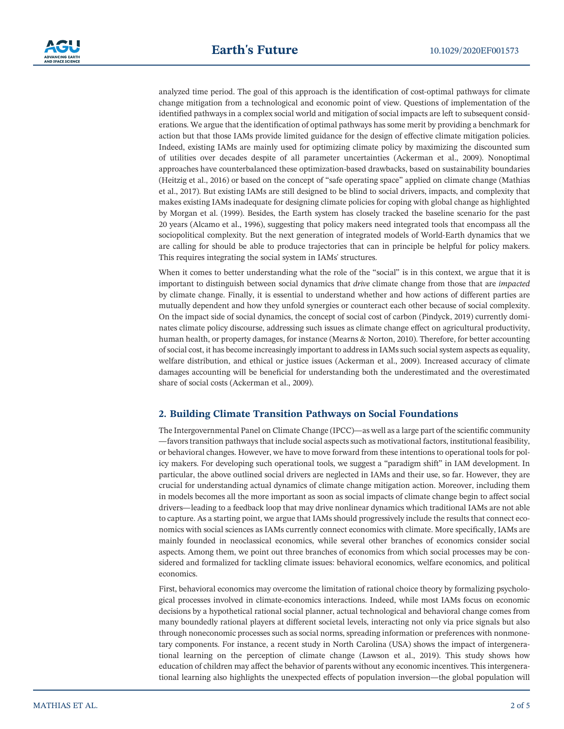analyzed time period. The goal of this approach is the identification of cost-optimal pathways for climate change mitigation from a technological and economic point of view. Questions of implementation of the identified pathways in a complex social world and mitigation of social impacts are left to subsequent considerations. We argue that the identification of optimal pathways has some merit by providing a benchmark for action but that those IAMs provide limited guidance for the design of effective climate mitigation policies. Indeed, existing IAMs are mainly used for optimizing climate policy by maximizing the discounted sum of utilities over decades despite of all parameter uncertainties (Ackerman et al., 2009). Nonoptimal approaches have counterbalanced these optimization‐based drawbacks, based on sustainability boundaries (Heitzig et al., 2016) or based on the concept of "safe operating space" applied on climate change (Mathias et al., 2017). But existing IAMs are still designed to be blind to social drivers, impacts, and complexity that makes existing IAMs inadequate for designing climate policies for coping with global change as highlighted by Morgan et al. (1999). Besides, the Earth system has closely tracked the baseline scenario for the past 20 years (Alcamo et al., 1996), suggesting that policy makers need integrated tools that encompass all the sociopolitical complexity. But the next generation of integrated models of World‐Earth dynamics that we are calling for should be able to produce trajectories that can in principle be helpful for policy makers. This requires integrating the social system in IAMs' structures.

When it comes to better understanding what the role of the "social" is in this context, we argue that it is important to distinguish between social dynamics that *drive* climate change from those that are *impacted* by climate change. Finally, it is essential to understand whether and how actions of different parties are mutually dependent and how they unfold synergies or counteract each other because of social complexity. On the impact side of social dynamics, the concept of social cost of carbon (Pindyck, 2019) currently dominates climate policy discourse, addressing such issues as climate change effect on agricultural productivity, human health, or property damages, for instance (Mearns & Norton, 2010). Therefore, for better accounting of social cost, it has become increasingly important to address in IAMs such social system aspects as equality, welfare distribution, and ethical or justice issues (Ackerman et al., 2009). Increased accuracy of climate damages accounting will be beneficial for understanding both the underestimated and the overestimated share of social costs (Ackerman et al., 2009).

#### **2. Building Climate Transition Pathways on Social Foundations**

The Intergovernmental Panel on Climate Change (IPCC)—as well as a large part of the scientific community —favors transition pathways that include social aspects such as motivational factors, institutional feasibility, or behavioral changes. However, we have to move forward from these intentions to operational tools for policy makers. For developing such operational tools, we suggest a "paradigm shift" in IAM development. In particular, the above outlined social drivers are neglected in IAMs and their use, so far. However, they are crucial for understanding actual dynamics of climate change mitigation action. Moreover, including them in models becomes all the more important as soon as social impacts of climate change begin to affect social drivers—leading to a feedback loop that may drive nonlinear dynamics which traditional IAMs are not able to capture. As a starting point, we argue that IAMs should progressively include the results that connect economics with social sciences as IAMs currently connect economics with climate. More specifically, IAMs are mainly founded in neoclassical economics, while several other branches of economics consider social aspects. Among them, we point out three branches of economics from which social processes may be considered and formalized for tackling climate issues: behavioral economics, welfare economics, and political economics.

First, behavioral economics may overcome the limitation of rational choice theory by formalizing psychological processes involved in climate‐economics interactions. Indeed, while most IAMs focus on economic decisions by a hypothetical rational social planner, actual technological and behavioral change comes from many boundedly rational players at different societal levels, interacting not only via price signals but also through noneconomic processes such as social norms, spreading information or preferences with nonmonetary components. For instance, a recent study in North Carolina (USA) shows the impact of intergenerational learning on the perception of climate change (Lawson et al., 2019). This study shows how education of children may affect the behavior of parents without any economic incentives. This intergenerational learning also highlights the unexpected effects of population inversion—the global population will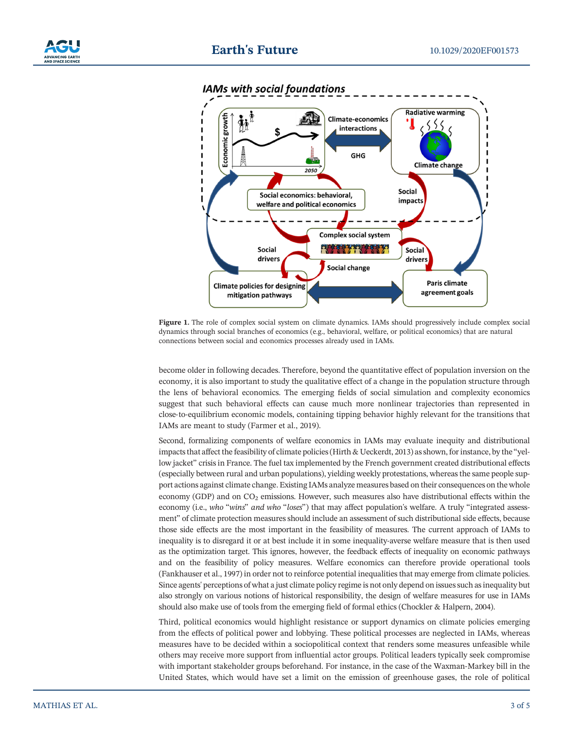



**IAMs with social foundations** 

**Figure 1.** The role of complex social system on climate dynamics. IAMs should progressively include complex social dynamics through social branches of economics (e.g., behavioral, welfare, or political economics) that are natural connections between social and economics processes already used in IAMs.

become older in following decades. Therefore, beyond the quantitative effect of population inversion on the economy, it is also important to study the qualitative effect of a change in the population structure through the lens of behavioral economics. The emerging fields of social simulation and complexity economics suggest that such behavioral effects can cause much more nonlinear trajectories than represented in close‐to‐equilibrium economic models, containing tipping behavior highly relevant for the transitions that IAMs are meant to study (Farmer et al., 2019).

Second, formalizing components of welfare economics in IAMs may evaluate inequity and distributional impacts that affect the feasibility of climate policies (Hirth & Ueckerdt, 2013) as shown, for instance, by the "yellow jacket" crisis in France. The fuel tax implemented by the French government created distributional effects (especially between rural and urban populations), yielding weekly protestations, whereas the same people support actions against climate change. Existing IAMs analyze measures based on their consequences on the whole economy (GDP) and on  $CO<sub>2</sub>$  emissions. However, such measures also have distributional effects within the economy (i.e., *who* "*wins*" *and who* "*loses*") that may affect population's welfare. A truly "integrated assessment" of climate protection measures should include an assessment of such distributional side effects, because those side effects are the most important in the feasibility of measures. The current approach of IAMs to inequality is to disregard it or at best include it in some inequality-averse welfare measure that is then used as the optimization target. This ignores, however, the feedback effects of inequality on economic pathways and on the feasibility of policy measures. Welfare economics can therefore provide operational tools (Fankhauser et al., 1997) in order not to reinforce potential inequalities that may emerge from climate policies. Since agents' perceptions of what a just climate policy regime is not only depend on issues such as inequality but also strongly on various notions of historical responsibility, the design of welfare measures for use in IAMs should also make use of tools from the emerging field of formal ethics (Chockler & Halpern, 2004).

Third, political economics would highlight resistance or support dynamics on climate policies emerging from the effects of political power and lobbying. These political processes are neglected in IAMs, whereas measures have to be decided within a sociopolitical context that renders some measures unfeasible while others may receive more support from influential actor groups. Political leaders typically seek compromise with important stakeholder groups beforehand. For instance, in the case of the Waxman-Markey bill in the United States, which would have set a limit on the emission of greenhouse gases, the role of political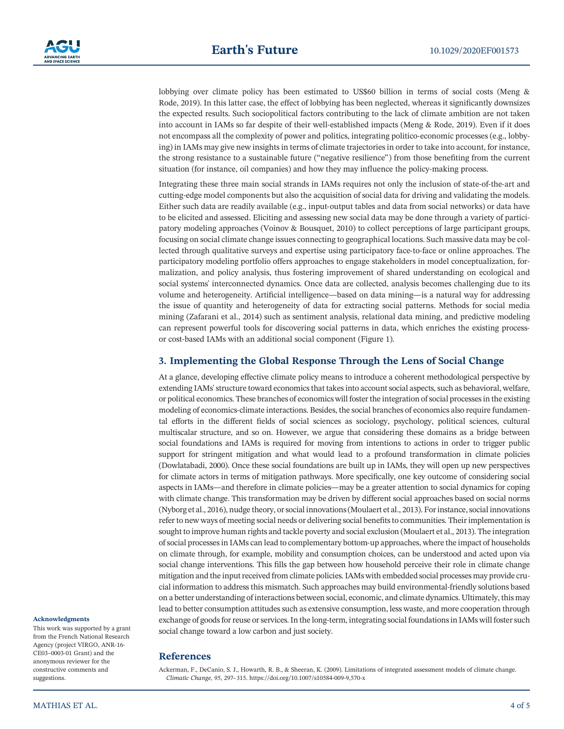lobbying over climate policy has been estimated to US\$60 billion in terms of social costs (Meng & Rode, 2019). In this latter case, the effect of lobbying has been neglected, whereas it significantly downsizes the expected results. Such sociopolitical factors contributing to the lack of climate ambition are not taken into account in IAMs so far despite of their well‐established impacts (Meng & Rode, 2019). Even if it does not encompass all the complexity of power and politics, integrating politico-economic processes (e.g., lobbying) in IAMs may give new insights in terms of climate trajectories in order to take into account, for instance, the strong resistance to a sustainable future ("negative resilience") from those benefiting from the current situation (for instance, oil companies) and how they may influence the policy-making process.

Integrating these three main social strands in IAMs requires not only the inclusion of state‐of‐the‐art and cutting‐edge model components but also the acquisition of social data for driving and validating the models. Either such data are readily available (e.g., input‐output tables and data from social networks) or data have to be elicited and assessed. Eliciting and assessing new social data may be done through a variety of participatory modeling approaches (Voinov & Bousquet, 2010) to collect perceptions of large participant groups, focusing on social climate change issues connecting to geographical locations. Such massive data may be collected through qualitative surveys and expertise using participatory face-to-face or online approaches. The participatory modeling portfolio offers approaches to engage stakeholders in model conceptualization, formalization, and policy analysis, thus fostering improvement of shared understanding on ecological and social systems' interconnected dynamics. Once data are collected, analysis becomes challenging due to its volume and heterogeneity. Artificial intelligence—based on data mining—is a natural way for addressing the issue of quantity and heterogeneity of data for extracting social patterns. Methods for social media mining (Zafarani et al., 2014) such as sentiment analysis, relational data mining, and predictive modeling can represent powerful tools for discovering social patterns in data, which enriches the existing processor cost-based IAMs with an additional social component (Figure 1).

#### **3. Implementing the Global Response Through the Lens of Social Change**

At a glance, developing effective climate policy means to introduce a coherent methodological perspective by extending IAMs' structure toward economics that takes into account social aspects, such as behavioral, welfare, or political economics. These branches of economics will foster the integration of social processes in the existing modeling of economics-climate interactions. Besides, the social branches of economics also require fundamental efforts in the different fields of social sciences as sociology, psychology, political sciences, cultural multiscalar structure, and so on. However, we argue that considering these domains as a bridge between social foundations and IAMs is required for moving from intentions to actions in order to trigger public support for stringent mitigation and what would lead to a profound transformation in climate policies (Dowlatabadi, 2000). Once these social foundations are built up in IAMs, they will open up new perspectives for climate actors in terms of mitigation pathways. More specifically, one key outcome of considering social aspects in IAMs—and therefore in climate policies—may be a greater attention to social dynamics for coping with climate change. This transformation may be driven by different social approaches based on social norms (Nyborg et al., 2016), nudge theory, or social innovations (Moulaert et al., 2013). For instance, social innovations refer to new ways of meeting social needs or delivering social benefits to communities. Their implementation is sought to improve human rights and tackle poverty and social exclusion (Moulaert et al., 2013). The integration of social processes in IAMs can lead to complementary bottom‐up approaches, where the impact of households on climate through, for example, mobility and consumption choices, can be understood and acted upon via social change interventions. This fills the gap between how household perceive their role in climate change mitigation and the input received from climate policies. IAMs with embedded social processes may provide crucial information to address this mismatch. Such approaches may build environmental‐friendly solutions based on a better understanding of interactions between social, economic, and climate dynamics. Ultimately, this may lead to better consumption attitudes such as extensive consumption, less waste, and more cooperation through exchange of goods for reuse or services. In the long‐term, integrating social foundations in IAMs will foster such social change toward a low carbon and just society.

#### This work was supported by a grant

**Acknowledgments**

from the French National Research Agency (project VIRGO, ANR‐16‐ CE03–0003‐01 Grant) and the anonymous reviewer for the constructive comments and suggestions.

## **References**

Ackerman, F., DeCanio, S. J., Howarth, R. B., & Sheeran, K. (2009). Limitations of integrated assessment models of climate change. *Climatic Change*, *<sup>95</sup>*, 297–315.<https://doi.org/10.1007/s10584-009-9,570-x>